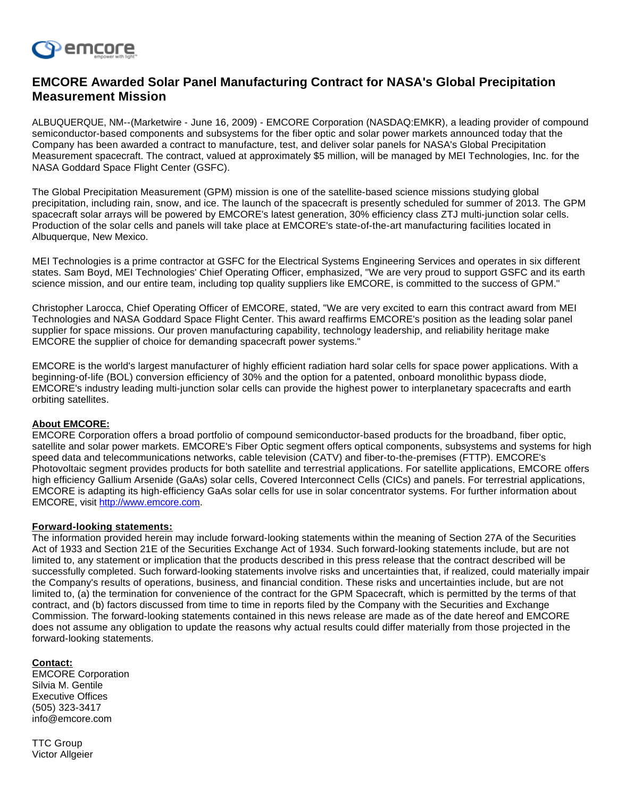

## **EMCORE Awarded Solar Panel Manufacturing Contract for NASA's Global Precipitation Measurement Mission**

ALBUQUERQUE, NM--(Marketwire - June 16, 2009) - EMCORE Corporation (NASDAQ:EMKR), a leading provider of compound semiconductor-based components and subsystems for the fiber optic and solar power markets announced today that the Company has been awarded a contract to manufacture, test, and deliver solar panels for NASA's Global Precipitation Measurement spacecraft. The contract, valued at approximately \$5 million, will be managed by MEI Technologies, Inc. for the NASA Goddard Space Flight Center (GSFC).

The Global Precipitation Measurement (GPM) mission is one of the satellite-based science missions studying global precipitation, including rain, snow, and ice. The launch of the spacecraft is presently scheduled for summer of 2013. The GPM spacecraft solar arrays will be powered by EMCORE's latest generation, 30% efficiency class ZTJ multi-junction solar cells. Production of the solar cells and panels will take place at EMCORE's state-of-the-art manufacturing facilities located in Albuquerque, New Mexico.

MEI Technologies is a prime contractor at GSFC for the Electrical Systems Engineering Services and operates in six different states. Sam Boyd, MEI Technologies' Chief Operating Officer, emphasized, "We are very proud to support GSFC and its earth science mission, and our entire team, including top quality suppliers like EMCORE, is committed to the success of GPM."

Christopher Larocca, Chief Operating Officer of EMCORE, stated, "We are very excited to earn this contract award from MEI Technologies and NASA Goddard Space Flight Center. This award reaffirms EMCORE's position as the leading solar panel supplier for space missions. Our proven manufacturing capability, technology leadership, and reliability heritage make EMCORE the supplier of choice for demanding spacecraft power systems."

EMCORE is the world's largest manufacturer of highly efficient radiation hard solar cells for space power applications. With a beginning-of-life (BOL) conversion efficiency of 30% and the option for a patented, onboard monolithic bypass diode, EMCORE's industry leading multi-junction solar cells can provide the highest power to interplanetary spacecrafts and earth orbiting satellites.

## **About EMCORE:**

EMCORE Corporation offers a broad portfolio of compound semiconductor-based products for the broadband, fiber optic, satellite and solar power markets. EMCORE's Fiber Optic segment offers optical components, subsystems and systems for high speed data and telecommunications networks, cable television (CATV) and fiber-to-the-premises (FTTP). EMCORE's Photovoltaic segment provides products for both satellite and terrestrial applications. For satellite applications, EMCORE offers high efficiency Gallium Arsenide (GaAs) solar cells, Covered Interconnect Cells (CICs) and panels. For terrestrial applications, EMCORE is adapting its high-efficiency GaAs solar cells for use in solar concentrator systems. For further information about EMCORE, visit [http://www.emcore.com](http://www.emcore.com/).

## **Forward-looking statements:**

The information provided herein may include forward-looking statements within the meaning of Section 27A of the Securities Act of 1933 and Section 21E of the Securities Exchange Act of 1934. Such forward-looking statements include, but are not limited to, any statement or implication that the products described in this press release that the contract described will be successfully completed. Such forward-looking statements involve risks and uncertainties that, if realized, could materially impair the Company's results of operations, business, and financial condition. These risks and uncertainties include, but are not limited to, (a) the termination for convenience of the contract for the GPM Spacecraft, which is permitted by the terms of that contract, and (b) factors discussed from time to time in reports filed by the Company with the Securities and Exchange Commission. The forward-looking statements contained in this news release are made as of the date hereof and EMCORE does not assume any obligation to update the reasons why actual results could differ materially from those projected in the forward-looking statements.

## **Contact:**

EMCORE Corporation Silvia M. Gentile Executive Offices (505) 323-3417 info@emcore.com

TTC Group Victor Allgeier